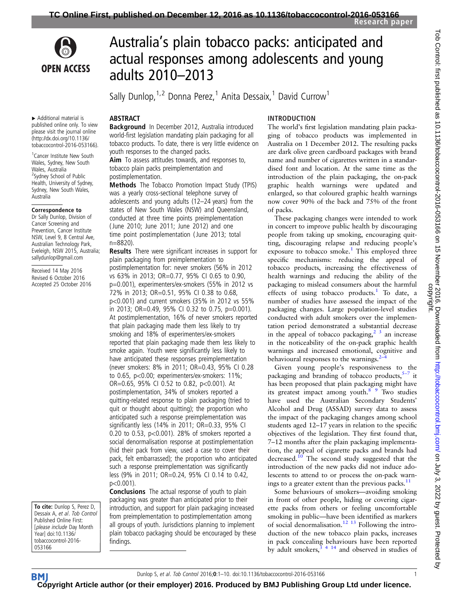

# Australia's plain tobacco packs: anticipated and actual responses among adolescents and young adults 2010–2013

Sally Dunlop,  $1,2$  Donna Perez, <sup>1</sup> Anita Dessaix, <sup>1</sup> David Currow<sup>1</sup>

## **ABSTRACT**

Background In December 2012, Australia introduced world-first legislation mandating plain packaging for all tobacco products. To date, there is very little evidence on youth responses to the changed packs. Aim To assess attitudes towards, and responses to, tobacco plain packs preimplementation and postimplementation.

Methods The Tobacco Promotion Impact Study (TPIS) was a yearly cross-sectional telephone survey of adolescents and young adults (12–24 years) from the states of New South Wales (NSW) and Queensland, conducted at three time points preimplementation ( June 2010; June 2011; June 2012) and one time point postimplementation ( June 2013; total n=8820).

Results There were significant increases in support for plain packaging from preimplementation to postimplementation for: never smokers (56% in 2012 vs 63% in 2013; OR=0.77, 95% CI 0.65 to 0.90, p=0.001), experimenters/ex-smokers (55% in 2012 vs 72% in 2013; OR=0.51, 95% CI 0.38 to 0.68, p<0.001) and current smokers (35% in 2012 vs 55% in 2013; OR=0.49, 95% CI 0.32 to 0.75, p=0.001). At postimplementation, 16% of never smokers reported that plain packaging made them less likely to try smoking and 18% of experimenters/ex-smokers reported that plain packaging made them less likely to smoke again. Youth were significantly less likely to have anticipated these responses preimplementation (never smokers: 8% in 2011; OR=0.43, 95% CI 0.28 to 0.65, p<0.00; experimenters/ex-smokers: 11%; OR=0.65, 95% CI 0.52 to 0.82, p<0.001). At postimplementation, 34% of smokers reported a quitting-related response to plain packaging (tried to quit or thought about quitting); the proportion who anticipated such a response preimplementation was significantly less (14% in 2011; OR=0.33, 95% CI 0.20 to 0.53, p<0.001). 28% of smokers reported a social denormalisation response at postimplementation (hid their pack from view, used a case to cover their pack, felt embarrassed); the proportion who anticipated such a response preimplementation was significantly less (9% in 2011; OR=0.24, 95% CI 0.14 to 0.42, p<0.001).

**Conclusions** The actual response of youth to plain packaging was greater than anticipated prior to their introduction, and support for plain packaging increased from preimplementation to postimplementation among all groups of youth. Jurisdictions planning to implement plain tobacco packaging should be encouraged by these findings.

## INTRODUCTION

The world's first legislation mandating plain packaging of tobacco products was implemented in Australia on 1 December 2012. The resulting packs are dark olive green cardboard packages with brand name and number of cigarettes written in a standardised font and location. At the same time as the introduction of the plain packaging, the on-pack graphic health warnings were updated and enlarged, so that coloured graphic health warnings now cover 90% of the back and 75% of the front of packs.

These packaging changes were intended to work in concert to improve public health by discouraging people from taking up smoking, encouraging quitting, discouraging relapse and reducing people's exposure to tobacco smoke. $1$  This employed three specific mechanisms: reducing the appeal of tobacco products, increasing the effectiveness of health warnings and reducing the ability of the packaging to mislead consumers about the harmful effects of using tobacco products.<sup>[1](#page-8-0)</sup> To date, a number of studies have assessed the impact of the packaging changes. Large population-level studies conducted with adult smokers over the implementation period demonstrated a substantial decrease in the appeal of tobacco packaging,  $2^3$  an increase in the noticeability of the on-pack graphic health warnings and increased emotional, cognitive and behavioural responses to the warnings. $<sup>2</sup>$  $<sup>2</sup>$  $<sup>2</sup>$ </sup>

Given young people's responsiveness to the packaging and branding of tobacco products, $5-7$  it has been proposed that plain packaging might have its greatest impact among youth.<sup>8</sup>  $\frac{9}{2}$  Two studies have used the Australian Secondary Students' Alcohol and Drug (ASSAD) survey data to assess the impact of the packaging changes among school students aged 12–17 years in relation to the specific objectives of the legislation. They first found that, 7–12 months after the plain packaging implementation, the appeal of cigarette packs and brands had decreased.<sup>[10](#page-8-0)</sup> The second study suggested that the introduction of the new packs did not induce adolescents to attend to or process the on-pack warnings to a greater extent than the previous packs. $^{11}$  $^{11}$  $^{11}$ 

Some behaviours of smokers—avoiding smoking in front of other people, hiding or covering cigarette packs from others or feeling uncomfortable smoking in public—have been identified as markers of social denormalisation.<sup>[12 13](#page-8-0)</sup> Following the introduction of the new tobacco plain packs, increases in pack concealing behaviours have been reported by adult smokers,  $3 \frac{4}{4}$  and observed in studies of

▸ Additional material is published online only. To view please visit the journal online [\(http://dx.doi.org/10.1136/](http://dx.doi.org/10.1136/tobaccocontrol-2016-053166) [tobaccocontrol-2016-053166\)](http://dx.doi.org/10.1136/tobaccocontrol-2016-053166).

1 Cancer Institute New South Wales, Sydney, New South Wales, Australia <sup>2</sup>Sydney School of Public Health, University of Sydney, Sydney, New South Wales, Australia

#### Correspondence to

Dr Sally Dunlop, Division of Cancer Screening and Prevention, Cancer Institute NSW, Level 9, 8 Central Ave, Australian Technology Park, Eveleigh, NSW 2015, Australia; sallydunlop@gmail.com

Received 14 May 2016 Revised 6 October 2016 Accepted 25 October 2016

To cite: Dunlop S, Perez D, Dessaix A, et al. Tob Control Published Online First: [please include Day Month Year] doi:10.1136/ tobaccocontrol-2016- 053166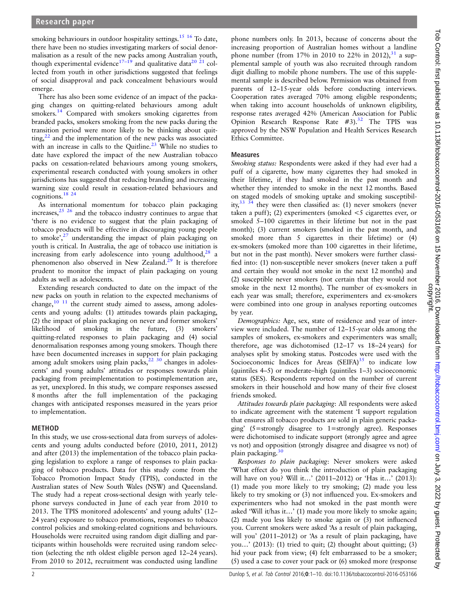smoking behaviours in outdoor hospitality settings.<sup>[15 16](#page-8-0)</sup> To date, there have been no studies investigating markers of social denormalisation as a result of the new packs among Australian youth, though experimental evidence<sup>[17](#page-8-0)–19</sup> and qualitative data<sup>[20 21](#page-8-0)</sup> collected from youth in other jurisdictions suggested that feelings of social disapproval and pack concealment behaviours would emerge.

There has also been some evidence of an impact of the packaging changes on quitting-related behaviours among adult smokers.<sup>[14](#page-8-0)</sup> Compared with smokers smoking cigarettes from branded packs, smokers smoking from the new packs during the transition period were more likely to be thinking about quitting, $^{22}$  and the implementation of the new packs was associated with an increase in calls to the Quitline.<sup>[23](#page-8-0)</sup> While no studies to date have explored the impact of the new Australian tobacco packs on cessation-related behaviours among young smokers, experimental research conducted with young smokers in other jurisdictions has suggested that reducing branding and increasing warning size could result in cessation-related behaviours and cognitions.[18 24](#page-8-0)

As international momentum for tobacco plain packaging increases, $25 \frac{25}{6}$  and the tobacco industry continues to argue that 'there is no evidence to suggest that the plain packaging of tobacco products will be effective in discouraging young people to smoke', [27](#page-8-0) understanding the impact of plain packaging on youth is critical. In Australia, the age of tobacco use initiation is increasing from early adolescence into young adulthood, $28$  a phenomenon also observed in New Zealand.<sup>[29](#page-8-0)</sup> It is therefore prudent to monitor the impact of plain packaging on young adults as well as adolescents.

Extending research conducted to date on the impact of the new packs on youth in relation to the expected mechanisms of change,<sup>[10 11](#page-8-0)</sup> the current study aimed to assess, among adolescents and young adults: (1) attitudes towards plain packaging, (2) the impact of plain packaging on never and former smokers' likelihood of smoking in the future, (3) smokers' quitting-related responses to plain packaging and (4) social denormalisation responses among young smokers. Though there have been documented increases in support for plain packaging among adult smokers using plain packs, $2230$  $2230$  changes in adolescents' and young adults' attitudes or responses towards plain packaging from preimplementation to postimplementation are, as yet, unexplored. In this study, we compare responses assessed 8 months after the full implementation of the packaging changes with anticipated responses measured in the years prior to implementation.

## METHOD

In this study, we use cross-sectional data from surveys of adolescents and young adults conducted before (2010, 2011, 2012) and after (2013) the implementation of the tobacco plain packaging legislation to explore a range of responses to plain packaging of tobacco products. Data for this study come from the Tobacco Promotion Impact Study (TPIS), conducted in the Australian states of New South Wales (NSW) and Queensland. The study had a repeat cross-sectional design with yearly telephone surveys conducted in June of each year from 2010 to 2013. The TPIS monitored adolescents' and young adults' (12– 24 years) exposure to tobacco promotions, responses to tobacco control policies and smoking-related cognitions and behaviours. Households were recruited using random digit dialling and participants within households were recruited using random selection (selecting the nth oldest eligible person aged 12–24 years). From 2010 to 2012, recruitment was conducted using landline

phone numbers only. In 2013, because of concerns about the increasing proportion of Australian homes without a landline phone number (from 17% in 2010 to 22% in 2012),  $31$  a supplemental sample of youth was also recruited through random digit dialling to mobile phone numbers. The use of this supplemental sample is described below. Permission was obtained from parents of 12–15-year olds before conducting interviews. Cooperation rates averaged 70% among eligible respondents; when taking into account households of unknown eligibility, response rates averaged 42% (American Association for Public Opinion Research Response Rate  $#3$ ).<sup>[32](#page-9-0)</sup> The TPIS was approved by the NSW Population and Health Services Research Ethics Committee.

## Measures

Smoking status: Respondents were asked if they had ever had a puff of a cigarette, how many cigarettes they had smoked in their lifetime, if they had smoked in the past month and whether they intended to smoke in the next 12 months. Based on staged models of smoking uptake and smoking susceptibil-<br>ity, $33\frac{34}{1}$  they were then classified as: (1) never smokers (never they were then classified as: (1) never smokers (never taken a puff); (2) experimenters (smoked  $\leq$ 5 cigarettes ever, or smoked 5–100 cigarettes in their lifetime but not in the past month); (3) current smokers (smoked in the past month, and smoked more than 5 cigarettes in their lifetime) or (4) ex-smokers (smoked more than 100 cigarettes in their lifetime, but not in the past month). Never smokers were further classified into: (1) non-susceptible never smokers (never taken a puff and certain they would not smoke in the next 12 months) and (2) susceptible never smokers (not certain that they would not smoke in the next 12 months). The number of ex-smokers in each year was small; therefore, experimenters and ex-smokers were combined into one group in analyses reporting outcomes by year.

Demographics: Age, sex, state of residence and year of interview were included. The number of 12–15-year olds among the samples of smokers, ex-smokers and experimenters was small; therefore, age was dichotomised (12–17 vs 18–24 years) for analyses split by smoking status. Postcodes were used with the Socioeconomic Indices for Areas  $(SEIFA)^{35}$  to indicate low (quintiles 4–5) or moderate–high (quintiles 1–3) socioeconomic status (SES). Respondents reported on the number of current smokers in their household and how many of their five closest friends smoked.

Attitudes towards plain packaging: All respondents were asked to indicate agreement with the statement 'I support regulation that ensures all tobacco products are sold in plain generic packaging' (5=strongly disagree to 1=strongly agree). Responses were dichotomised to indicate support (strongly agree and agree vs not) and opposition (strongly disagree and disagree vs not) of plain packaging.<sup>[30](#page-9-0)</sup>

Responses to plain packaging: Never smokers were asked 'What effect do you think the introduction of plain packaging will have on you? Will it…' (2011–2012) or 'Has it…' (2013): (1) made you more likely to try smoking; (2) made you less likely to try smoking or (3) not influenced you. Ex-smokers and experimenters who had not smoked in the past month were asked 'Will it/has it…' (1) made you more likely to smoke again; (2) made you less likely to smoke again or (3) not influenced you. Current smokers were asked 'As a result of plain packaging, will you' (2011–2012) or 'As a result of plain packaging, have you…' (2013): (1) tried to quit; (2) thought about quitting; (3) hid your pack from view; (4) felt embarrassed to be a smoker; (5) used a case to cover your pack or (6) smoked more (response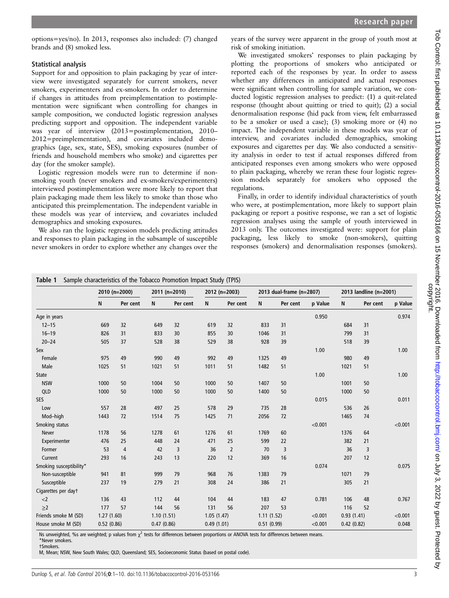<span id="page-2-0"></span>options=yes/no). In 2013, responses also included: (7) changed brands and (8) smoked less.

#### Statistical analysis

Support for and opposition to plain packaging by year of interview were investigated separately for current smokers, never smokers, experimenters and ex-smokers. In order to determine if changes in attitudes from preimplementation to postimplementation were significant when controlling for changes in sample composition, we conducted logistic regression analyses predicting support and opposition. The independent variable was year of interview (2013=postimplementation, 2010– 2012=preimplementation), and covariates included demographics (age, sex, state, SES), smoking exposures (number of friends and household members who smoke) and cigarettes per day (for the smoker sample).

Logistic regression models were run to determine if nonsmoking youth (never smokers and ex-smokers/experimenters) interviewed postimplementation were more likely to report that plain packaging made them less likely to smoke than those who anticipated this preimplementation. The independent variable in these models was year of interview, and covariates included demographics and smoking exposures.

We also ran the logistic regression models predicting attitudes and responses to plain packaging in the subsample of susceptible never smokers in order to explore whether any changes over the

years of the survey were apparent in the group of youth most at risk of smoking initiation.

We investigated smokers' responses to plain packaging by plotting the proportions of smokers who anticipated or reported each of the responses by year. In order to assess whether any differences in anticipated and actual responses were significant when controlling for sample variation, we conducted logistic regression analyses to predict: (1) a quit-related response (thought about quitting or tried to quit); (2) a social denormalisation response (hid pack from view, felt embarrassed to be a smoker or used a case); (3) smoking more or (4) no impact. The independent variable in these models was year of interview, and covariates included demographics, smoking exposures and cigarettes per day. We also conducted a sensitivity analysis in order to test if actual responses differed from anticipated responses even among smokers who were opposed to plain packaging, whereby we reran these four logistic regression models separately for smokers who opposed the regulations.

Finally, in order to identify individual characteristics of youth who were, at postimplementation, more likely to support plain packaging or report a positive response, we ran a set of logistic regression analyses using the sample of youth interviewed in 2013 only. The outcomes investigated were: support for plain packaging, less likely to smoke (non-smokers), quitting responses (smokers) and denormalisation responses (smokers).

|                         | 2010 (n=2000) |                | 2011 (n=2010) |          |            | 2012 (n=2003)  |            | 2013 dual-frame (n=2807) | 2013 landline (n=2001) |            |          |         |
|-------------------------|---------------|----------------|---------------|----------|------------|----------------|------------|--------------------------|------------------------|------------|----------|---------|
|                         | N             | Per cent       | N             | Per cent | N          | Per cent       | N          | Per cent                 | p Value                | N          | Per cent | p Value |
| Age in years            |               |                |               |          |            |                |            |                          | 0.950                  |            |          | 0.974   |
| $12 - 15$               | 669           | 32             | 649           | 32       | 619        | 32             | 833        | 31                       |                        | 684        | 31       |         |
| $16 - 19$               | 826           | 31             | 833           | 30       | 855        | 30             | 1046       | 31                       |                        | 799        | 31       |         |
| $20 - 24$               | 505           | 37             | 528           | 38       | 529        | 38             | 928        | 39                       |                        | 518        | 39       |         |
| Sex                     |               |                |               |          |            |                |            |                          | 1.00                   |            |          | 1.00    |
| Female                  | 975           | 49             | 990           | 49       | 992        | 49             | 1325       | 49                       |                        | 980        | 49       |         |
| Male                    | 1025          | 51             | 1021          | 51       | 1011       | 51             | 1482       | 51                       |                        | 1021       | 51       |         |
| <b>State</b>            |               |                |               |          |            |                |            |                          | 1.00                   |            |          | 1.00    |
| <b>NSW</b>              | 1000          | 50             | 1004          | 50       | 1000       | 50             | 1407       | 50                       |                        | 1001       | 50       |         |
| QLD                     | 1000          | 50             | 1000          | 50       | 1000       | 50             | 1400       | 50                       |                        | 1000       | 50       |         |
| <b>SES</b>              |               |                |               |          |            |                |            |                          | 0.015                  |            |          | 0.011   |
| Low                     | 557           | 28             | 497           | 25       | 578        | 29             | 735        | 28                       |                        | 536        | 26       |         |
| Mod-high                | 1443          | 72             | 1514          | 75       | 1425       | 71             | 2056       | 72                       |                        | 1465       | 74       |         |
| Smoking status          |               |                |               |          |            |                |            |                          | < 0.001                |            |          | < 0.001 |
| <b>Never</b>            | 1178          | 56             | 1278          | 61       | 1276       | 61             | 1769       | 60                       |                        | 1376       | 64       |         |
| Experimenter            | 476           | 25             | 448           | 24       | 471        | 25             | 599        | 22                       |                        | 382        | 21       |         |
| Former                  | 53            | $\overline{4}$ | 42            | 3        | 36         | $\overline{2}$ | 70         | 3                        |                        | 36         | 3        |         |
| Current                 | 293           | 16             | 243           | 13       | 220        | 12             | 369        | 16                       |                        | 207        | 12       |         |
| Smoking susceptibility* |               |                |               |          |            |                |            |                          | 0.074                  |            |          | 0.075   |
| Non-susceptible         | 941           | 81             | 999           | 79       | 968        | 76             | 1383       | 79                       |                        | 1071       | 79       |         |
| Susceptible             | 237           | 19             | 279           | 21       | 308        | 24             | 386        | 21                       |                        | 305        | 21       |         |
| Cigarettes per dayt     |               |                |               |          |            |                |            |                          |                        |            |          |         |
| $<$ 2                   | 136           | 43             | 112           | 44       | 104        | 44             | 183        | 47                       | 0.781                  | 106        | 48       | 0.767   |
| $\geq$ 2                | 177           | 57             | 144           | 56       | 131        | 56             | 207        | 53                       |                        | 116        | 52       |         |
| Friends smoke M (SD)    | 1.27(1.60)    |                | 1.10(1.51)    |          | 1.05(1.47) |                | 1.11(1.52) |                          | < 0.001                | 0.93(1.41) |          | < 0.001 |
| House smoke M (SD)      | 0.52(0.86)    |                | 0.47(0.86)    |          | 0.49(1.01) |                | 0.51(0.99) |                          | < 0.001                | 0.42(0.82) |          | 0.048   |

Ns unweighted, %s are weighted; p values from  $\chi^2$  tests for differences between proportions or ANOVA tests for differences between means.

M, Mean; NSW, New South Wales; QLD, Queensland; SES, Socioeconomic Status (based on postal code).

<sup>\*</sup>Never smokers. †Smokers.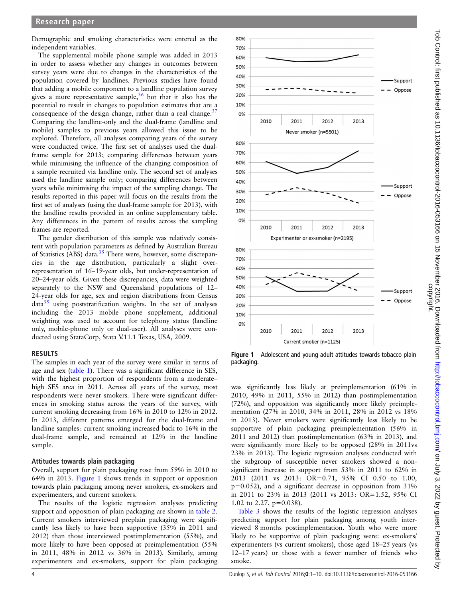Demographic and smoking characteristics were entered as the independent variables.

The supplemental mobile phone sample was added in 2013 in order to assess whether any changes in outcomes between survey years were due to changes in the characteristics of the population covered by landlines. Previous studies have found that adding a mobile component to a landline population survey gives a more representative sample,  $36$  but that it also has the potential to result in changes to population estimates that are a consequence of the design change, rather than a real change.<sup>37</sup> Comparing the landline-only and the dual-frame (landline and mobile) samples to previous years allowed this issue to be explored. Therefore, all analyses comparing years of the survey were conducted twice. The first set of analyses used the dualframe sample for 2013; comparing differences between years while minimising the influence of the changing composition of a sample recruited via landline only. The second set of analyses used the landline sample only; comparing differences between years while minimising the impact of the sampling change. The results reported in this paper will focus on the results from the first set of analyses (using the dual-frame sample for 2013), with the landline results provided in an online [supplementary table](http://dx.doi.org/10.1136/tobaccocontrol-2016-053166). Any differences in the pattern of results across the sampling frames are reported.

The gender distribution of this sample was relatively consistent with population parameters as defined by Australian Bureau of Statistics (ABS) data.<sup>[35](#page-9-0)</sup> There were, however, some discrepancies in the age distribution, particularly a slight overrepresentation of 16–19-year olds, but under-representation of 20–24-year olds. Given these discrepancies, data were weighted separately to the NSW and Queensland populations of 12– 24-year olds for age, sex and region distributions from Census  $data<sup>35</sup>$  $data<sup>35</sup>$  $data<sup>35</sup>$  using poststratification weights. In the set of analyses including the 2013 mobile phone supplement, additional weighting was used to account for telephony status (landline only, mobile-phone only or dual-user). All analyses were conducted using StataCorp, Stata V.11.1 Texas, USA, 2009.

#### RESULTS

The samples in each year of the survey were similar in terms of age and sex [\(table 1\)](#page-2-0). There was a significant difference in SES, with the highest proportion of respondents from a moderate– high SES area in 2011. Across all years of the survey, most respondents were never smokers. There were significant differences in smoking status across the years of the survey, with current smoking decreasing from 16% in 2010 to 12% in 2012. In 2013, different patterns emerged for the dual-frame and landline samples: current smoking increased back to 16% in the dual-frame sample, and remained at 12% in the landline sample.

#### Attitudes towards plain packaging

Overall, support for plain packaging rose from 59% in 2010 to 64% in 2013. Figure 1 shows trends in support or opposition towards plain packaging among never smokers, ex-smokers and experimenters, and current smokers.

The results of the logistic regression analyses predicting support and opposition of plain packaging are shown in [table 2](#page-4-0). Current smokers interviewed preplain packaging were significantly less likely to have been supportive (35% in 2011 and 2012) than those interviewed postimplementation (55%), and more likely to have been opposed at preimplementation (55% in 2011, 48% in 2012 vs 36% in 2013). Similarly, among experimenters and ex-smokers, support for plain packaging



Figure 1 Adolescent and young adult attitudes towards tobacco plain packaging.

was significantly less likely at preimplementation (61% in 2010, 49% in 2011, 55% in 2012) than postimplementation (72%), and opposition was significantly more likely preimplementation (27% in 2010, 34% in 2011, 28% in 2012 vs 18% in 2013). Never smokers were significantly less likely to be supportive of plain packaging preimplementation (56% in 2011 and 2012) than postimplementation (63% in 2013), and were significantly more likely to be opposed (28% in 2011vs 23% in 2013). The logistic regression analyses conducted with the subgroup of susceptible never smokers showed a nonsignificant increase in support from 53% in 2011 to 62% in 2013 (2011 vs 2013: OR=0.71, 95% CI 0.50 to 1.00, p=0.052), and a significant decrease in opposition from 31% in 2011 to 23% in 2013 (2011 vs 2013: OR=1.52, 95% CI 1.02 to 2.27, p=0.038).

[Table 3](#page-4-0) shows the results of the logistic regression analyses predicting support for plain packaging among youth interviewed 8 months postimplementation. Youth who were more likely to be supportive of plain packaging were: ex-smokers/ experimenters (vs current smokers), those aged 18–25 years (vs 12–17 years) or those with a fewer number of friends who smoke.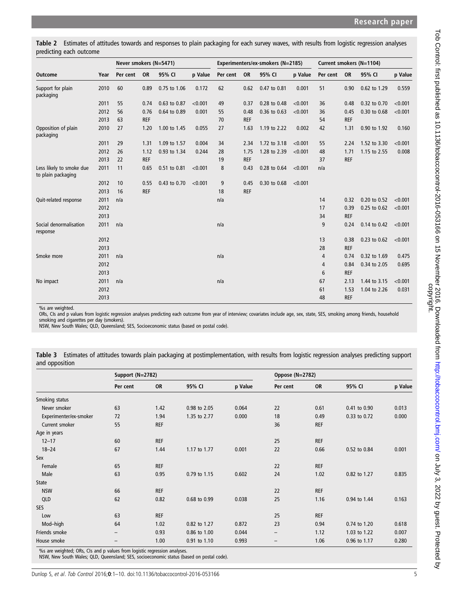<span id="page-4-0"></span>Table 2 Estimates of attitudes towards and responses to plain packaging for each survey waves, with results from logistic regression analyses predicting each outcome

|                                                |      | Never smokers (N=5471) |            |              |         |          | Experimenters/ex-smokers (N=2185) |              | Current smokers (N=1104) |          |            |              |         |
|------------------------------------------------|------|------------------------|------------|--------------|---------|----------|-----------------------------------|--------------|--------------------------|----------|------------|--------------|---------|
| <b>Outcome</b>                                 | Year | Per cent               | <b>OR</b>  | 95% CI       | p Value | Per cent | <b>OR</b>                         | 95% CI       | p Value                  | Per cent | <b>OR</b>  | 95% CI       | p Value |
| Support for plain<br>packaging                 | 2010 | 60                     | 0.89       | 0.75 to 1.06 | 0.172   | 62       | 0.62                              | 0.47 to 0.81 | 0.001                    | 51       | 0.90       | 0.62 to 1.29 | 0.559   |
|                                                | 2011 | 55                     | 0.74       | 0.63 to 0.87 | < 0.001 | 49       | 0.37                              | 0.28 to 0.48 | < 0.001                  | 36       | 0.48       | 0.32 to 0.70 | < 0.001 |
|                                                | 2012 | 56                     | 0.76       | 0.64 to 0.89 | 0.001   | 55       | 0.48                              | 0.36 to 0.63 | < 0.001                  | 36       | 0.45       | 0.30 to 0.68 | < 0.001 |
|                                                | 2013 | 63                     | <b>REF</b> |              |         | 70       | <b>REF</b>                        |              |                          | 54       | <b>REF</b> |              |         |
| Opposition of plain<br>packaging               | 2010 | 27                     | 1.20       | 1.00 to 1.45 | 0.055   | 27       | 1.63                              | 1.19 to 2.22 | 0.002                    | 42       | 1.31       | 0.90 to 1.92 | 0.160   |
|                                                | 2011 | 29                     | 1.31       | 1.09 to 1.57 | 0.004   | 34       | 2.34                              | 1.72 to 3.18 | < 0.001                  | 55       | 2.24       | 1.52 to 3.30 | < 0.001 |
|                                                | 2012 | 26                     | 1.12       | 0.93 to 1.34 | 0.244   | 28       | 1.75                              | 1.28 to 2.39 | < 0.001                  | 48       | 1.71       | 1.15 to 2.55 | 0.008   |
|                                                | 2013 | 22                     | <b>REF</b> |              |         | 19       | <b>REF</b>                        |              |                          | 37       | <b>REF</b> |              |         |
| Less likely to smoke due<br>to plain packaging | 2011 | 11                     | 0.65       | 0.51 to 0.81 | < 0.001 | 8        | 0.43                              | 0.28 to 0.64 | < 0.001                  | n/a      |            |              |         |
|                                                | 2012 | 10                     | 0.55       | 0.43 to 0.70 | < 0.001 | 9        | 0.45                              | 0.30 to 0.68 | < 0.001                  |          |            |              |         |
|                                                | 2013 | 16                     | <b>REF</b> |              |         | 18       | <b>REF</b>                        |              |                          |          |            |              |         |
| Quit-related response                          | 2011 | n/a                    |            |              |         | n/a      |                                   |              |                          | 14       | 0.32       | 0.20 to 0.52 | < 0.001 |
|                                                | 2012 |                        |            |              |         |          |                                   |              |                          | 17       | 0.39       | 0.25 to 0.62 | < 0.001 |
|                                                | 2013 |                        |            |              |         |          |                                   |              |                          | 34       | <b>REF</b> |              |         |
| Social denormalisation<br>response             | 2011 | n/a                    |            |              |         | n/a      |                                   |              |                          | 9        | 0.24       | 0.14 to 0.42 | < 0.001 |
|                                                | 2012 |                        |            |              |         |          |                                   |              |                          | 13       | 0.38       | 0.23 to 0.62 | < 0.001 |
|                                                | 2013 |                        |            |              |         |          |                                   |              |                          | 28       | <b>REF</b> |              |         |
| Smoke more                                     | 2011 | n/a                    |            |              |         | n/a      |                                   |              |                          | 4        | 0.74       | 0.32 to 1.69 | 0.475   |
|                                                | 2012 |                        |            |              |         |          |                                   |              |                          | 4        | 0.84       | 0.34 to 2.05 | 0.695   |
|                                                | 2013 |                        |            |              |         |          |                                   |              |                          | 6        | <b>REF</b> |              |         |
| No impact                                      | 2011 | n/a                    |            |              |         | n/a      |                                   |              |                          | 67       | 2.13       | 1.44 to 3.15 | < 0.001 |
|                                                | 2012 |                        |            |              |         |          |                                   |              |                          | 61       | 1.53       | 1.04 to 2.26 | 0.031   |
|                                                | 2013 |                        |            |              |         |          |                                   |              |                          | 48       | <b>REF</b> |              |         |

%s are weighted.

ORs, CIs and p values from logistic regression analyses predicting each outcome from year of interview; covariates include age, sex, state, SES, smoking among friends, household

smoking and cigarettes per day (smokers). NSW, New South Wales; QLD, Queensland; SES, Socioeconomic status (based on postal code).

Table 3 Estimates of attitudes towards plain packaging at postimplementation, with results from logistic regression analyses predicting support and opposition

|                        | Support (N=2782) |            |              | Oppose (N=2782) |                   |            |              |         |  |  |
|------------------------|------------------|------------|--------------|-----------------|-------------------|------------|--------------|---------|--|--|
|                        | Per cent         | <b>OR</b>  | 95% CI       | p Value         | Per cent          | <b>OR</b>  | 95% CI       | p Value |  |  |
| Smoking status         |                  |            |              |                 |                   |            |              |         |  |  |
| Never smoker           | 63               | 1.42       | 0.98 to 2.05 | 0.064           | 22                | 0.61       | 0.41 to 0.90 | 0.013   |  |  |
| Experimenter/ex-smoker | 72               | 1.94       | 1.35 to 2.77 | 0.000           | 18                | 0.49       | 0.33 to 0.72 | 0.000   |  |  |
| Current smoker         | 55               | <b>REF</b> |              |                 | 36                | <b>REF</b> |              |         |  |  |
| Age in years           |                  |            |              |                 |                   |            |              |         |  |  |
| $12 - 17$              | 60               | <b>REF</b> |              |                 | 25                | <b>REF</b> |              |         |  |  |
| $18 - 24$              | 67               | 1.44       | 1.17 to 1.77 | 0.001           | 22                | 0.66       | 0.52 to 0.84 | 0.001   |  |  |
| Sex                    |                  |            |              |                 |                   |            |              |         |  |  |
| Female                 | 65               | REF        |              |                 | 22                | <b>REF</b> |              |         |  |  |
| Male                   | 63               | 0.95       | 0.79 to 1.15 | 0.602           | 24                | 1.02       | 0.82 to 1.27 | 0.835   |  |  |
| State                  |                  |            |              |                 |                   |            |              |         |  |  |
| <b>NSW</b>             | 66               | REF        |              |                 | 22                | <b>REF</b> |              |         |  |  |
| QLD                    | 62               | 0.82       | 0.68 to 0.99 | 0.038           | 25                | 1.16       | 0.94 to 1.44 | 0.163   |  |  |
| SES                    |                  |            |              |                 |                   |            |              |         |  |  |
| Low                    | 63               | <b>REF</b> |              |                 | 25                | <b>REF</b> |              |         |  |  |
| Mod-high               | 64               | 1.02       | 0.82 to 1.27 | 0.872           | 23                | 0.94       | 0.74 to 1.20 | 0.618   |  |  |
| Friends smoke          | -                | 0.93       | 0.86 to 1.00 | 0.044           | $\qquad \qquad -$ | 1.12       | 1.03 to 1.22 | 0.007   |  |  |
| House smoke            |                  | 1.00       | 0.91 to 1.10 | 0.993           | $\qquad \qquad -$ | 1.06       | 0.96 to 1.17 | 0.280   |  |  |

%s are weighted; ORs, CIs and p values from logistic regression analyses. NSW, New South Wales; QLD, Queensland; SES, socioeconomic status (based on postal code).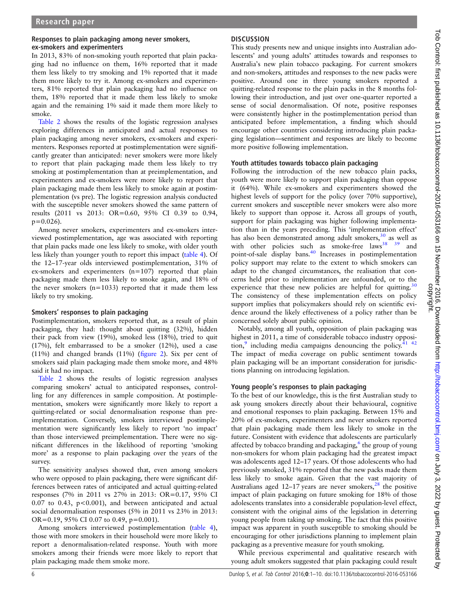#### Responses to plain packaging among never smokers, ex-smokers and experimenters

In 2013, 83% of non-smoking youth reported that plain packaging had no influence on them, 16% reported that it made them less likely to try smoking and 1% reported that it made them more likely to try it. Among ex-smokers and experimenters, 81% reported that plain packaging had no influence on them, 18% reported that it made them less likely to smoke again and the remaining 1% said it made them more likely to smoke.

[Table 2](#page-4-0) shows the results of the logistic regression analyses exploring differences in anticipated and actual responses to plain packaging among never smokers, ex-smokers and experimenters. Responses reported at postimplementation were significantly greater than anticipated: never smokers were more likely to report that plain packaging made them less likely to try smoking at postimplementation than at preimplementation, and experimenters and ex-smokers were more likely to report that plain packaging made them less likely to smoke again at postimplementation (vs pre). The logistic regression analysis conducted with the susceptible never smokers showed the same pattern of results (2011 vs 2013: OR=0.60, 95% CI 0.39 to 0.94,  $p=0.026$ ).

Among never smokers, experimenters and ex-smokers interviewed postimplementation, age was associated with reporting that plain packs made one less likely to smoke, with older youth less likely than younger youth to report this impact [\(table 4](#page-6-0)). Of the 12–17-year olds interviewed postimplementation, 31% of ex-smokers and experimenters (n=107) reported that plain packaging made them less likely to smoke again, and 18% of the never smokers  $(n=1033)$  reported that it made them less likely to try smoking.

#### Smokers' responses to plain packaging

Postimplementation, smokers reported that, as a result of plain packaging, they had: thought about quitting (32%), hidden their pack from view (19%), smoked less (18%), tried to quit (17%), felt embarrassed to be a smoker (12%), used a case (11%) and changed brands (11%) (fi[gure 2](#page-7-0)). Six per cent of smokers said plain packaging made them smoke more, and 48% said it had no impact.

[Table 2](#page-4-0) shows the results of logistic regression analyses comparing smokers' actual to anticipated responses, controlling for any differences in sample composition. At postimplementation, smokers were significantly more likely to report a quitting-related or social denormalisation response than preimplementation. Conversely, smokers interviewed postimplementation were significantly less likely to report 'no impact' than those interviewed preimplementation. There were no significant differences in the likelihood of reporting 'smoking more' as a response to plain packaging over the years of the survey.

The sensitivity analyses showed that, even among smokers who were opposed to plain packaging, there were significant differences between rates of anticipated and actual quitting-related responses (7% in 2011 vs 27% in 2013: OR=0.17, 95% CI 0.07 to 0.43, p<0.001), and between anticipated and actual social denormalisation responses (5% in 2011 vs 23% in 2013: OR=0.19, 95% CI 0.07 to 0.49, p=0.001).

Among smokers interviewed postimplementation ([table 4](#page-6-0)), those with more smokers in their household were more likely to report a denormalisation-related response. Youth with more smokers among their friends were more likely to report that plain packaging made them smoke more.

## **DISCUSSION**

This study presents new and unique insights into Australian adolescents' and young adults' attitudes towards and responses to Australia's new plain tobacco packaging. For current smokers and non-smokers, attitudes and responses to the new packs were positive. Around one in three young smokers reported a quitting-related response to the plain packs in the 8 months following their introduction, and just over one-quarter reported a sense of social denormalisation. Of note, positive responses were consistently higher in the postimplementation period than anticipated before implementation, a finding which should encourage other countries considering introducing plain packaging legislation—sentiment and responses are likely to become more positive following implementation.

#### Youth attitudes towards tobacco plain packaging

Following the introduction of the new tobacco plain packs, youth were more likely to support plain packaging than oppose it (64%). While ex-smokers and experimenters showed the highest levels of support for the policy (over 70% supportive), current smokers and susceptible never smokers were also more likely to support than oppose it. Across all groups of youth, support for plain packaging was higher following implementation than in the years preceding. This 'implementation effect' has also been demonstrated among adult smokers,<sup>[30](#page-9-0)</sup> as well as with other policies such as smoke-free laws $38$   $39$  and point-of-sale display bans.<sup>[40](#page-9-0)</sup> Increases in postimplementation policy support may relate to the extent to which smokers can adapt to the changed circumstances, the realisation that concerns held prior to implementation are unfounded, or to the experience that these new policies are helpful for quitting.<sup>[30](#page-9-0)</sup> The consistency of these implementation effects on policy support implies that policymakers should rely on scientific evidence around the likely effectiveness of a policy rather than be concerned solely about public opinion.

Notably, among all youth, opposition of plain packaging was highest in 2011, a time of considerable tobacco industry opposi-tion,<sup>9</sup> including media campaigns denouncing the policy.<sup>[41 42](#page-9-0)</sup> The impact of media coverage on public sentiment towards plain packaging will be an important consideration for jurisdictions planning on introducing legislation.

## Young people's responses to plain packaging

To the best of our knowledge, this is the first Australian study to ask young smokers directly about their behavioural, cognitive and emotional responses to plain packaging. Between 15% and 20% of ex-smokers, experimenters and never smokers reported that plain packaging made them less likely to smoke in the future. Consistent with evidence that adolescents are particularly affected by tobacco branding and packaging, $6$  the group of young non-smokers for whom plain packaging had the greatest impact was adolescents aged 12–17 years. Of those adolescents who had previously smoked, 31% reported that the new packs made them less likely to smoke again. Given that the vast majority of Australians aged  $12-17$  years are never smokers,<sup>[28](#page-8-0)</sup> the positive impact of plain packaging on future smoking for 18% of those adolescents translates into a considerable population-level effect, consistent with the original aims of the legislation in deterring young people from taking up smoking. The fact that this positive impact was apparent in youth susceptible to smoking should be encouraging for other jurisdictions planning to implement plain packaging as a preventive measure for youth smoking.

While previous experimental and qualitative research with young adult smokers suggested that plain packaging could result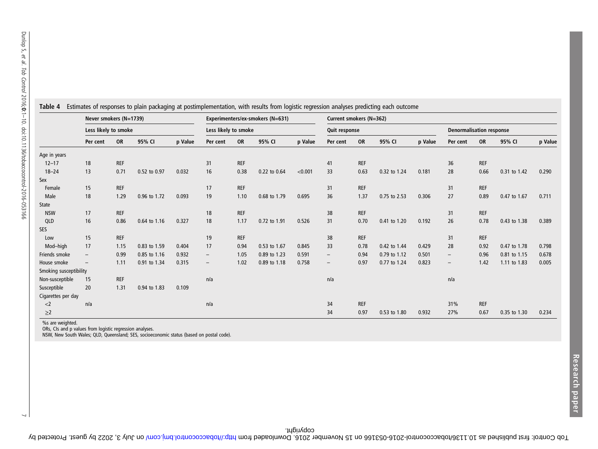|                        | Never smokers (N=1739)   |            |              |         |                          | Experimenters/ex-smokers (N=631) |              | Current smokers (N=362) |          |            |              |                                 |                          |            |              |         |
|------------------------|--------------------------|------------|--------------|---------|--------------------------|----------------------------------|--------------|-------------------------|----------|------------|--------------|---------------------------------|--------------------------|------------|--------------|---------|
|                        | Less likely to smoke     |            |              |         | Less likely to smoke     |                                  |              | Quit response           |          |            |              | <b>Denormalisation response</b> |                          |            |              |         |
|                        | Per cent                 | <b>OR</b>  | 95% CI       | p Value | Per cent                 | <b>OR</b>                        | 95% CI       | p Value                 | Per cent | OR         | 95% CI       | p Value                         | Per cent                 | <b>OR</b>  | 95% CI       | p Value |
| Age in years           |                          |            |              |         |                          |                                  |              |                         |          |            |              |                                 |                          |            |              |         |
| $12 - 17$              | 18                       | <b>REF</b> |              |         | 31                       | <b>REF</b>                       |              |                         | 41       | <b>REF</b> |              |                                 | 36                       | <b>REF</b> |              |         |
| $18 - 24$              | 13                       | 0.71       | 0.52 to 0.97 | 0.032   | 16                       | 0.38                             | 0.22 to 0.64 | < 0.001                 | 33       | 0.63       | 0.32 to 1.24 | 0.181                           | 28                       | 0.66       | 0.31 to 1.42 | 0.290   |
| Sex                    |                          |            |              |         |                          |                                  |              |                         |          |            |              |                                 |                          |            |              |         |
| Female                 | 15                       | <b>REF</b> |              |         | 17                       | <b>REF</b>                       |              |                         | 31       | <b>REF</b> |              |                                 | 31                       | <b>REF</b> |              |         |
| Male                   | 18                       | 1.29       | 0.96 to 1.72 | 0.093   | 19                       | 1.10                             | 0.68 to 1.79 | 0.695                   | 36       | 1.37       | 0.75 to 2.53 | 0.306                           | 27                       | 0.89       | 0.47 to 1.67 | 0.711   |
| State                  |                          |            |              |         |                          |                                  |              |                         |          |            |              |                                 |                          |            |              |         |
| <b>NSW</b>             | 17                       | <b>REF</b> |              |         | 18                       | <b>REF</b>                       |              |                         | 38       | <b>REF</b> |              |                                 | 31                       | <b>REF</b> |              |         |
| QLD                    | 16                       | 0.86       | 0.64 to 1.16 | 0.327   | 18                       | 1.17                             | 0.72 to 1.91 | 0.526                   | 31       | 0.70       | 0.41 to 1.20 | 0.192                           | 26                       | 0.78       | 0.43 to 1.38 | 0.389   |
| SES                    |                          |            |              |         |                          |                                  |              |                         |          |            |              |                                 |                          |            |              |         |
| Low                    | 15                       | REF        |              |         | 19                       | <b>REF</b>                       |              |                         | 38       | REF        |              |                                 | 31                       | REF        |              |         |
| Mod-high               | 17                       | 1.15       | 0.83 to 1.59 | 0.404   | 17                       | 0.94                             | 0.53 to 1.67 | 0.845                   | 33       | 0.78       | 0.42 to 1.44 | 0.429                           | 28                       | 0.92       | 0.47 to 1.78 | 0.798   |
| Friends smoke          | $\overline{\phantom{a}}$ | 0.99       | 0.85 to 1.16 | 0.932   | $\overline{\phantom{m}}$ | 1.05                             | 0.89 to 1.23 | 0.591                   | $-$      | 0.94       | 0.79 to 1.12 | 0.501                           | $\overline{\phantom{a}}$ | 0.96       | 0.81 to 1.15 | 0.678   |
| House smoke            | $\overline{\phantom{a}}$ | 1.11       | 0.91 to 1.34 | 0.315   | $\qquad \qquad -$        | 1.02                             | 0.89 to 1.18 | 0.758                   | $-$      | 0.97       | 0.77 to 1.24 | 0.823                           | $\overline{\phantom{a}}$ | 1.42       | 1.11 to 1.83 | 0.005   |
| Smoking susceptibility |                          |            |              |         |                          |                                  |              |                         |          |            |              |                                 |                          |            |              |         |
| Non-susceptible        | 15                       | <b>REF</b> |              |         | n/a                      |                                  |              |                         | n/a      |            |              |                                 | n/a                      |            |              |         |
| Susceptible            | 20                       | 1.31       | 0.94 to 1.83 | 0.109   |                          |                                  |              |                         |          |            |              |                                 |                          |            |              |         |
| Cigarettes per day     |                          |            |              |         |                          |                                  |              |                         |          |            |              |                                 |                          |            |              |         |
| $<$ 2                  | n/a                      |            |              |         | n/a                      |                                  |              |                         | 34       | REF        |              |                                 | 31%                      | <b>REF</b> |              |         |
| $\geq$ 2               |                          |            |              |         |                          |                                  |              |                         | 34       | 0.97       | 0.53 to 1.80 | 0.932                           | 27%                      | 0.67       | 0.35 to 1.30 | 0.234   |

<span id="page-6-0"></span>Table 4 Estimates of responses to plain packaging at postimplementation, with results from logistic regression analyses predicting each outcome

 $\sim$ 

%s are weighted. ORs, CIs and p values from logistic regression analyses. NSW, New South Wales; QLD, Queensland; SES, socioeconomic status (based on postal code).

l ob Control: first published as 10.136/tobaccocontrol: 2016-053167 by determining burning back published as 10.1136. Downloaded from the Protected by dubited as 10.158. Downloaded from the Protected from Dubited from Dubi

copyright.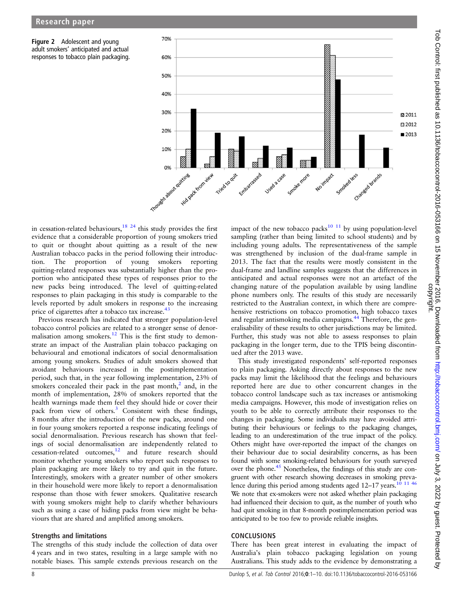<span id="page-7-0"></span>



in cessation-related behaviours,<sup>[18 24](#page-8-0)</sup> this study provides the first evidence that a considerable proportion of young smokers tried to quit or thought about quitting as a result of the new Australian tobacco packs in the period following their introduction. The proportion of young smokers reporting quitting-related responses was substantially higher than the proportion who anticipated these types of responses prior to the new packs being introduced. The level of quitting-related responses to plain packaging in this study is comparable to the levels reported by adult smokers in response to the increasing price of cigarettes after a tobacco tax increase.<sup>4</sup>

Previous research has indicated that stronger population-level tobacco control policies are related to a stronger sense of denor-malisation among smokers.<sup>[12](#page-8-0)</sup> This is the first study to demonstrate an impact of the Australian plain tobacco packaging on behavioural and emotional indicators of social denormalisation among young smokers. Studies of adult smokers showed that avoidant behaviours increased in the postimplementation period, such that, in the year following implementation, 23% of smokers concealed their pack in the past month, $^{2}$  $^{2}$  $^{2}$  and, in the month of implementation, 28% of smokers reported that the health warnings made them feel they should hide or cover their pack from view of others.<sup>[3](#page-8-0)</sup> Consistent with these findings, 8 months after the introduction of the new packs, around one in four young smokers reported a response indicating feelings of social denormalisation. Previous research has shown that feelings of social denormalisation are independently related to cessation-related outcomes[,12](#page-8-0) and future research should monitor whether young smokers who report such responses to plain packaging are more likely to try and quit in the future. Interestingly, smokers with a greater number of other smokers in their household were more likely to report a denormalisation response than those with fewer smokers. Qualitative research with young smokers might help to clarify whether behaviours such as using a case of hiding packs from view might be behaviours that are shared and amplified among smokers.

#### Strengths and limitations

The strengths of this study include the collection of data over 4 years and in two states, resulting in a large sample with no notable biases. This sample extends previous research on the impact of the new tobacco packs $10^{-11}$  by using population-level sampling (rather than being limited to school students) and by including young adults. The representativeness of the sample was strengthened by inclusion of the dual-frame sample in 2013. The fact that the results were mostly consistent in the dual-frame and landline samples suggests that the differences in anticipated and actual responses were not an artefact of the changing nature of the population available by using landline phone numbers only. The results of this study are necessarily restricted to the Australian context, in which there are comprehensive restrictions on tobacco promotion, high tobacco taxes and regular antismoking media campaigns.<sup>[44](#page-9-0)</sup> Therefore, the generalisability of these results to other jurisdictions may be limited. Further, this study was not able to assess responses to plain packaging in the longer term, due to the TPIS being discontinued after the 2013 wave.

This study investigated respondents' self-reported responses to plain packaging. Asking directly about responses to the new packs may limit the likelihood that the feelings and behaviours reported here are due to other concurrent changes in the tobacco control landscape such as tax increases or antismoking media campaigns. However, this mode of investigation relies on youth to be able to correctly attribute their responses to the changes in packaging. Some individuals may have avoided attributing their behaviours or feelings to the packaging changes, leading to an underestimation of the true impact of the policy. Others might have over-reported the impact of the changes on their behaviour due to social desirability concerns, as has been found with some smoking-related behaviours for youth surveyed over the phone[.45](#page-9-0) Nonetheless, the findings of this study are congruent with other research showing decreases in smoking prevalence during this period among students aged  $12-17$  years.<sup>10</sup> <sup>11 [46](#page-9-0)</sup> We note that ex-smokers were not asked whether plain packaging had influenced their decision to quit, as the number of youth who had quit smoking in that 8-month postimplementation period was anticipated to be too few to provide reliable insights.

#### **CONCLUSIONS**

There has been great interest in evaluating the impact of Australia's plain tobacco packaging legislation on young Australians. This study adds to the evidence by demonstrating a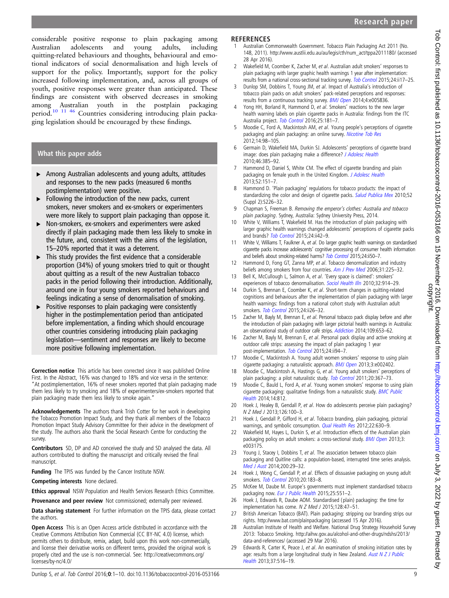<span id="page-8-0"></span>considerable positive response to plain packaging among Australian adolescents and young adults, including quitting-related behaviours and thoughts, behavioural and emotional indicators of social denormalisation and high levels of support for the policy. Importantly, support for the policy increased following implementation, and, across all groups of youth, positive responses were greater than anticipated. These findings are consistent with observed decreases in smoking among Australian youth in the postplain packaging period.10 11 [46](#page-9-0) Countries considering introducing plain packaging legislation should be encouraged by these findings.

## What this paper adds

- ▸ Among Australian adolescents and young adults, attitudes and responses to the new packs (measured 6 months postimplementation) were positive.
- $\triangleright$  Following the introduction of the new packs, current smokers, never smokers and ex-smokers or experimenters were more likely to support plain packaging than oppose it.
- ▸ Non-smokers, ex-smokers and experimenters were asked directly if plain packaging made them less likely to smoke in the future, and, consistent with the aims of the legislation, 15–20% reported that it was a deterrent.
- $\triangleright$  This study provides the first evidence that a considerable proportion (34%) of young smokers tried to quit or thought about quitting as a result of the new Australian tobacco packs in the period following their introduction. Additionally, around one in four young smokers reported behaviours and feelings indicating a sense of denormalisation of smoking.
- Positive responses to plain packaging were consistently higher in the postimplementation period than anticipated before implementation, a finding which should encourage other countries considering introducing plain packaging legislation—sentiment and responses are likely to become more positive following implementation.

Correction notice This article has been corrected since it was published Online First. In the Abstract, 16% was changed to 18% and vice versa in the sentence: "At postimplementation, 16% of never smokers reported that plain packaging made them less likely to try smoking and 18% of experimenters/ex-smokers reported that plain packaging made them less likely to smoke again."

Acknowledgements The authors thank Trish Cotter for her work in developing the Tobacco Promotion Impact Study, and they thank all members of the Tobacco Promotion Impact Study Advisory Committee for their advice in the development of the study. The authors also thank the Social Research Centre for conducting the survey.

Contributors SD, DP and AD conceived the study and SD analysed the data. All authors contributed to drafting the manuscript and critically revised the final manuscript.

Funding The TPIS was funded by the Cancer Institute NSW.

Competing interests None declared.

Ethics approval NSW Population and Health Services Research Ethics Committee.

Provenance and peer review Not commissioned; externally peer reviewed.

Data sharing statement For further information on the TPIS data, please contact the authors.

**Open Access** This is an Open Access article distributed in accordance with the Creative Commons Attribution Non Commercial (CC BY-NC 4.0) license, which permits others to distribute, remix, adapt, build upon this work non-commercially, and license their derivative works on different terms, provided the original work is properly cited and the use is non-commercial. See: [http://creativecommons.org/](http://www.austlii.edu.au/au/legis/cth/num_act/tppa2011180/) [licenses/by-nc/4.0/](http://www.austlii.edu.au/au/legis/cth/num_act/tppa2011180/)

#### **REFERENCES**

- 1 Australian Commonwealth Government. Tobacco Plain Packaging Act 2011 (No. 148, 2011). [http://www.austlii.edu.au/au/legis/cth/num\\_act/tppa2011180/](http://dx.doi.org/10.1136/tobaccocontrol-2014-052050) (accessed 28 Apr 2016).
- 2 Wakefield M, Coomber K, Zacher M, et al. Australian adult smokers' responses to plain packaging with larger graphic health warnings 1 year after implementation: results from a national cross-sectional tracking survey. [Tob Control](http://dx.doi.org/10.1136/bmjopen-2014-005836) 2015;24:ii17–25.
- 3 Dunlop SM, Dobbins T, Young JM, et al. Impact of Australia's introduction of tobacco plain packs on adult smokers' pack-related perceptions and responses: results from a continuous tracking survey. [BMJ Open](http://dx.doi.org/10.1136/tobaccocontrol-2014-051979) 2014;4:e005836.
- 4 Yong HH, Borland R, Hammond D, et al. Smokers' reactions to the new larger health warning labels on plain cigarette packs in Australia: findings from the ITC Australia project. [Tob Control](http://dx.doi.org/10.1093/ntr/ntr136) 2016;25:181-7.
- 5 Moodie C, Ford A, Mackintosh AM, et al. Young people's perceptions of cigarette packaging and plain packaging: an online survey. [Nicotine Tob Res](http://dx.doi.org/10.1016/j.jadohealth.2009.08.009) 2012;14:98–105.
- 6 Germain D, Wakefield MA, Durkin SJ. Adolescents' perceptions of cigarette brand image: does plain packaging make a difference? [J Adolesc Health](http://dx.doi.org/10.1016/j.jadohealth.2012.06.003) 2010;46:385–92.
- 7 Hammond D, Daniel S, White CM. The effect of cigarette branding and plain packaging on female youth in the United Kingdom. [J Adolesc Health](http://dx.doi.org/10.1590/S0036-36342010000800018) 2013;52:151–7.
- 8 Hammond D. 'Plain packaging' regulations for tobacco products: the impact of standardizing the color and design of cigarette packs. [Salud Publica Mex](http://dx.doi.org/10.1136/tobaccocontrol-2014-052084) 2010;52 (Suppl 2):S226–32.
- 9 Chapman S, Freeman B. Removing the emperor's clothes: Australia and tobacco plain packaging. Sydney, Australia: Sydney University Press, 2014.
- 10 White V, Williams T, Wakefield M. Has the introduction of plain packaging with larger graphic health warnings changed adolescents' perceptions of cigarette packs and brands? [Tob Control](http://dx.doi.org/10.1136/tobaccocontrol-2014-052085) 2015;24:ii42–9.
- 11 White V, Williams T, Faulkner A, et al. Do larger graphic health warnings on standardised cigarette packs increase adolescents' cognitive processing of consumer health information and beliefs about smoking-related harms? [Tob Control](http://dx.doi.org/10.1016/j.amepre.2006.04.004) 2015;24:ii50-7.
- 12 Hammond D, Fong GT, Zanna MP, et al. Tobacco denormalization and industry beliefs among smokers from four countries. [Am J Prev Med](http://dx.doi.org/10.1111/j.1467-9566.2010.01251.x) 2006;31:225–32.
- 13 Bell K, McCullough L, Salmon A, et al. 'Every space is claimed': smokers' experiences of tobacco denormalisation. [Sociol Health Illn](http://dx.doi.org/10.1136/tobaccocontrol-2014-052058) 2010;32:914-29.
- 14 Durkin S, Brennan E, Coomber K, et al. Short-term changes in quitting-related cognitions and behaviours after the implementation of plain packaging with larger health warnings: findings from a national cohort study with Australian adult smokers. [Tob Control](http://dx.doi.org/10.1111/add.12466) 2015;24:ii26-32.
- 15 Zacher M, Bayly M, Brennan E, et al. Personal tobacco pack display before and after the introduction of plain packaging with larger pictorial health warnings in Australia: an observational study of outdoor café strips. [Addiction](http://dx.doi.org/10.1136/tobaccocontrol-2014-051826) 2014;109:653–62.
- 16 Zacher M, Bayly M, Brennan E, et al. Personal pack display and active smoking at outdoor café strips: assessing the impact of plain packaging 1 year post-implementation. [Tob Control](http://dx.doi.org/10.1136/bmjopen-2012-002402) 2015;24:ii94-7.
- 17 Moodie C, Mackintosh A. Young adult women smokers' response to using plain cigarette packaging: a naturalistic approach. [BMJ Open](http://dx.doi.org/10.1136/tc.2011.042911) 2013;3:e002402.
- 18 Moodie C, Mackintosh A, Hastings G, et al. Young adult smokers' perceptions of plain packaging: a pilot naturalistic study. [Tob Control](http://dx.doi.org/10.1186/1471-2458-14-812) 2011;20:367-73.
- 19 Moodie C, Bauld L, Ford A, et al. Young women smokers' response to using plain cigarette packaging: qualitative findings from a naturalistic study. [BMC Public](http://dx.doi.org/10.1177/1049732311431070) [Health](http://dx.doi.org/10.1177/1049732311431070) 2014;14:812.
- 20 Hoek J, Healey B, Gendall P, et al. How do adolescents perceive plain packaging? N Z Med J 2013;126:100–3.
- 21 Hoek J, Gendall P, Gifford H, et al. Tobacco branding, plain packaging, pictorial warnings, and symbolic consumption. *[Qual Health Res](http://dx.doi.org/10.1136/bmjopen-2013-003175)* 2012;22:630-9.
- 22 Wakefield M, Hayes L, Durkin S, et al. Introduction effects of the Australian plain packaging policy on adult smokers: a cross-sectional study. **[BMJ Open](http://dx.doi.org/10.5694/mja13.11070) 2013**;3: e003175.
- 23 Young J, Stacey I, Dobbins T, et al. The association between tobacco plain packaging and Quitline calls: a population-based, interrupted time series analysis. [Med J Aust](http://dx.doi.org/10.1136/tc.2010.037861) 2014;200:29–32.
- 24 Hoek J, Wong C, Gendall P, et al. Effects of dissuasive packaging on young adult smokers. [Tob Control](http://dx.doi.org/10.1093/eurpub/ckv002) 2010;20:183-8.
- 25 McKee M, Daube M. Europe's governments must implement standardised tobacco packaging now. [Eur J Public Health](http://www.bat.com/plainpackaging) 2015;25:551-2.
- 26 Hoek J, Edwards R, Daube AOM. Standardised (plain) packaging: the time for implementation has come. N Z Med J 2015;128:47–51.
- 27 British American Tobacco (BAT). Plain packaging: stripping our branding strips our rights. [http://www.bat.com/plainpackaging](http://aihw.gov.au/alcohol-and-other-drugs/ndshs/2013/data-and-references/) (accessed 15 Apr 2016).
- 28 Australian Institute of Health and Welfare. National Drug Strategy Household Survey 2013: Tobacco Smoking. [http://aihw.gov.au/alcohol-and-other-drugs/ndshs/2013/](http://dx.doi.org/10.1111/1753-6405.12105) [data-and-references/](http://dx.doi.org/10.1111/1753-6405.12105) (accessed 29 Mar 2016).
- 29 Edwards R, Carter K, Peace J, et al. An examination of smoking initiation rates by age: results from a large longitudinal study in New Zealand. Aust  $N Z J$  Public [Health](http://dx.doi.org/10.1136/tobaccocontrol-2014-051880) 2013;37:516–19.